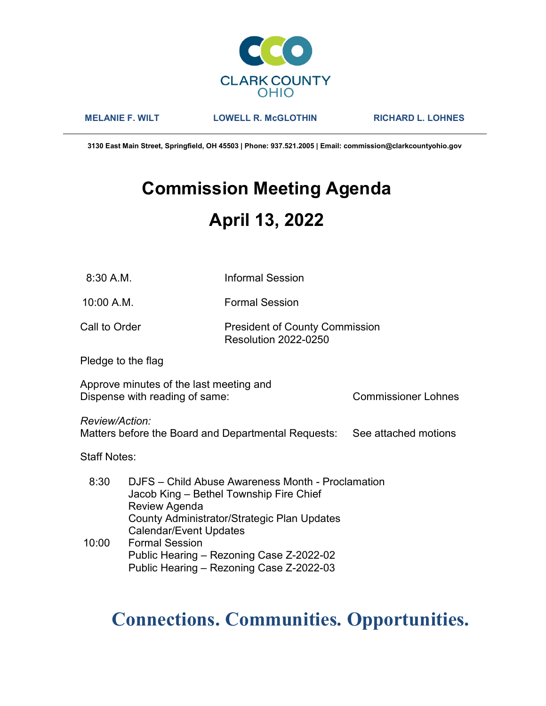

MELANIE F. WILT LOWELL R. McGLOTHIN RICHARD L. LOHNES

3130 East Main Street, Springfield, OH 45503 | Phone: 937.521.2005 | Email: commission@clarkcountyohio.gov

# Commission Meeting Agenda April 13, 2022

10:00 A.M. Formal Session

### Call to Order **President of County Commission** Resolution 2022-0250

Pledge to the flag

Approve minutes of the last meeting and Dispense with reading of same: Commissioner Lohnes

Review/Action:

Matters before the Board and Departmental Requests: See attached motions

Staff Notes:

 8:30 DJFS – Child Abuse Awareness Month - Proclamation Jacob King – Bethel Township Fire Chief Review Agenda County Administrator/Strategic Plan Updates Calendar/Event Updates 10:00 Formal Session Public Hearing – Rezoning Case Z-2022-02 Public Hearing – Rezoning Case Z-2022-03

## Connections. Communities. Opportunities.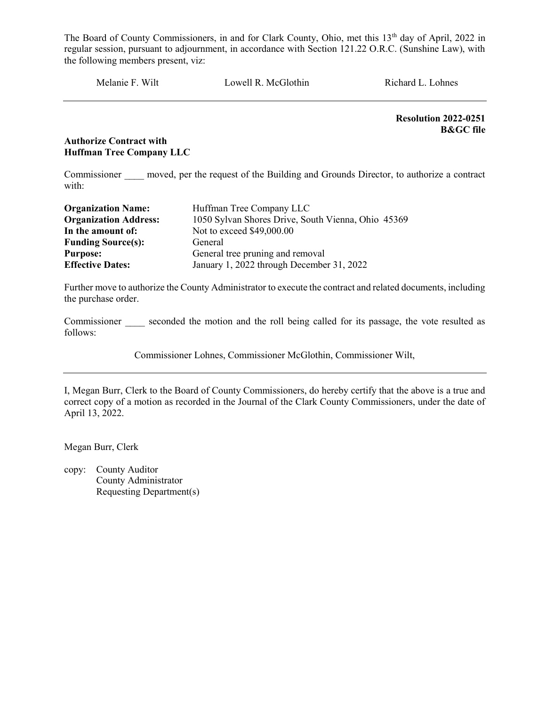Melanie F. Wilt Lowell R. McGlothin Richard L. Lohnes

Resolution 2022-0251 B&GC file

#### Authorize Contract with Huffman Tree Company LLC

Commissioner moved, per the request of the Building and Grounds Director, to authorize a contract with:

| <b>Organization Name:</b>    | Huffman Tree Company LLC                           |
|------------------------------|----------------------------------------------------|
| <b>Organization Address:</b> | 1050 Sylvan Shores Drive, South Vienna, Ohio 45369 |
| In the amount of:            | Not to exceed \$49,000.00                          |
| <b>Funding Source(s):</b>    | General                                            |
| <b>Purpose:</b>              | General tree pruning and removal                   |
| <b>Effective Dates:</b>      | January 1, 2022 through December 31, 2022          |

Further move to authorize the County Administrator to execute the contract and related documents, including the purchase order.

Commissioner seconded the motion and the roll being called for its passage, the vote resulted as follows:

Commissioner Lohnes, Commissioner McGlothin, Commissioner Wilt,

I, Megan Burr, Clerk to the Board of County Commissioners, do hereby certify that the above is a true and correct copy of a motion as recorded in the Journal of the Clark County Commissioners, under the date of April 13, 2022.

Megan Burr, Clerk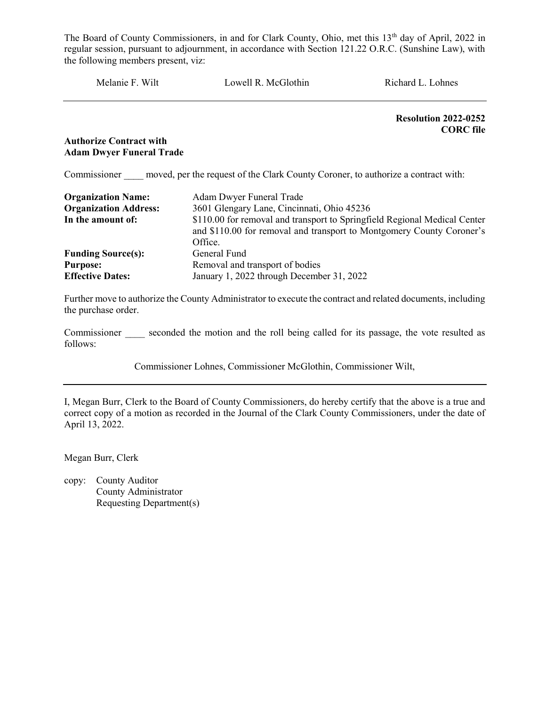Melanie F. Wilt Lowell R. McGlothin Richard L. Lohnes

Resolution 2022-0252 CORC file

#### Authorize Contract with Adam Dwyer Funeral Trade

Commissioner moved, per the request of the Clark County Coroner, to authorize a contract with:

| <b>Organization Name:</b>    | Adam Dwyer Funeral Trade                                                                                                                                      |
|------------------------------|---------------------------------------------------------------------------------------------------------------------------------------------------------------|
| <b>Organization Address:</b> | 3601 Glengary Lane, Cincinnati, Ohio 45236                                                                                                                    |
| In the amount of:            | \$110.00 for removal and transport to Springfield Regional Medical Center<br>and \$110.00 for removal and transport to Montgomery County Coroner's<br>Office. |
| <b>Funding Source(s):</b>    | General Fund                                                                                                                                                  |
| <b>Purpose:</b>              | Removal and transport of bodies                                                                                                                               |
| <b>Effective Dates:</b>      | January 1, 2022 through December 31, 2022                                                                                                                     |

Further move to authorize the County Administrator to execute the contract and related documents, including the purchase order.

Commissioner seconded the motion and the roll being called for its passage, the vote resulted as follows:

Commissioner Lohnes, Commissioner McGlothin, Commissioner Wilt,

I, Megan Burr, Clerk to the Board of County Commissioners, do hereby certify that the above is a true and correct copy of a motion as recorded in the Journal of the Clark County Commissioners, under the date of April 13, 2022.

Megan Burr, Clerk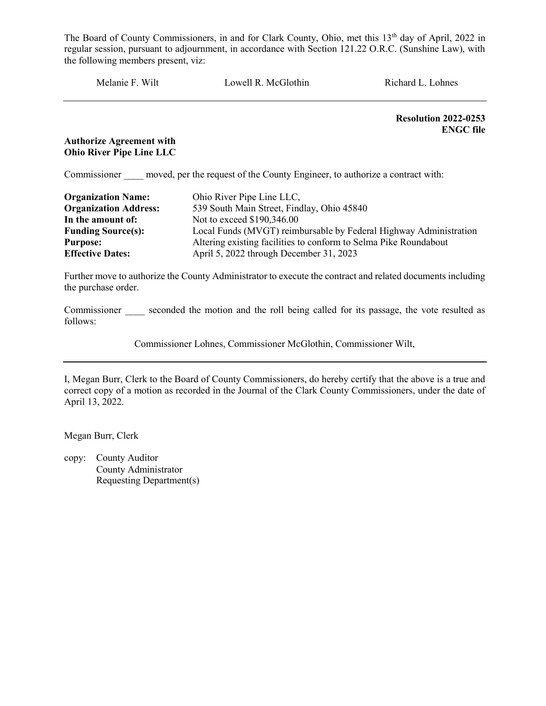Melanie F. Wilt Lowell R. McGlothin Richard L. Lohnes

Resolution 2022-0253 ENGC file

#### Authorize Agreement with Ohio River Pipe Line LLC

Commissioner moved, per the request of the County Engineer, to authorize a contract with:

| <b>Organization Name:</b><br><b>Organization Address:</b> | Ohio River Pipe Line LLC,<br>539 South Main Street, Findlay, Ohio 45840 |
|-----------------------------------------------------------|-------------------------------------------------------------------------|
| In the amount of:                                         | Not to exceed \$190,346.00                                              |
| <b>Funding Source(s):</b>                                 | Local Funds (MVGT) reimbursable by Federal Highway Administration       |
| <b>Purpose:</b>                                           | Altering existing facilities to conform to Selma Pike Roundabout        |
| <b>Effective Dates:</b>                                   | April 5, 2022 through December 31, 2023                                 |

Further move to authorize the County Administrator to execute the contract and related documents including the purchase order.

Commissioner seconded the motion and the roll being called for its passage, the vote resulted as follows:

Commissioner Lohnes, Commissioner McGlothin, Commissioner Wilt,

I, Megan Burr, Clerk to the Board of County Commissioners, do hereby certify that the above is a true and correct copy of a motion as recorded in the Journal of the Clark County Commissioners, under the date of April 13, 2022.

Megan Burr, Clerk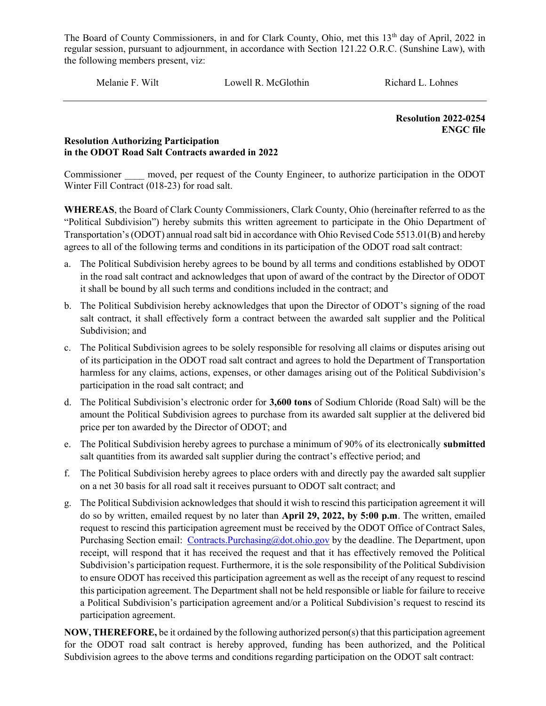Melanie F. Wilt Lowell R. McGlothin Richard L. Lohnes

Resolution 2022-0254 ENGC file

#### Resolution Authorizing Participation in the ODOT Road Salt Contracts awarded in 2022

Commissioner moved, per request of the County Engineer, to authorize participation in the ODOT Winter Fill Contract (018-23) for road salt.

WHEREAS, the Board of Clark County Commissioners, Clark County, Ohio (hereinafter referred to as the "Political Subdivision") hereby submits this written agreement to participate in the Ohio Department of Transportation's (ODOT) annual road salt bid in accordance with Ohio Revised Code 5513.01(B) and hereby agrees to all of the following terms and conditions in its participation of the ODOT road salt contract:

- a. The Political Subdivision hereby agrees to be bound by all terms and conditions established by ODOT in the road salt contract and acknowledges that upon of award of the contract by the Director of ODOT it shall be bound by all such terms and conditions included in the contract; and
- b. The Political Subdivision hereby acknowledges that upon the Director of ODOT's signing of the road salt contract, it shall effectively form a contract between the awarded salt supplier and the Political Subdivision; and
- c. The Political Subdivision agrees to be solely responsible for resolving all claims or disputes arising out of its participation in the ODOT road salt contract and agrees to hold the Department of Transportation harmless for any claims, actions, expenses, or other damages arising out of the Political Subdivision's participation in the road salt contract; and
- d. The Political Subdivision's electronic order for 3,600 tons of Sodium Chloride (Road Salt) will be the amount the Political Subdivision agrees to purchase from its awarded salt supplier at the delivered bid price per ton awarded by the Director of ODOT; and
- e. The Political Subdivision hereby agrees to purchase a minimum of 90% of its electronically submitted salt quantities from its awarded salt supplier during the contract's effective period; and
- f. The Political Subdivision hereby agrees to place orders with and directly pay the awarded salt supplier on a net 30 basis for all road salt it receives pursuant to ODOT salt contract; and
- g. The Political Subdivision acknowledges that should it wish to rescind this participation agreement it will do so by written, emailed request by no later than April 29, 2022, by 5:00 p.m. The written, emailed request to rescind this participation agreement must be received by the ODOT Office of Contract Sales, Purchasing Section email: Contracts.Purchasing@dot.ohio.gov by the deadline. The Department, upon receipt, will respond that it has received the request and that it has effectively removed the Political Subdivision's participation request. Furthermore, it is the sole responsibility of the Political Subdivision to ensure ODOT has received this participation agreement as well as the receipt of any request to rescind this participation agreement. The Department shall not be held responsible or liable for failure to receive a Political Subdivision's participation agreement and/or a Political Subdivision's request to rescind its participation agreement.

NOW, THEREFORE, be it ordained by the following authorized person(s) that this participation agreement for the ODOT road salt contract is hereby approved, funding has been authorized, and the Political Subdivision agrees to the above terms and conditions regarding participation on the ODOT salt contract: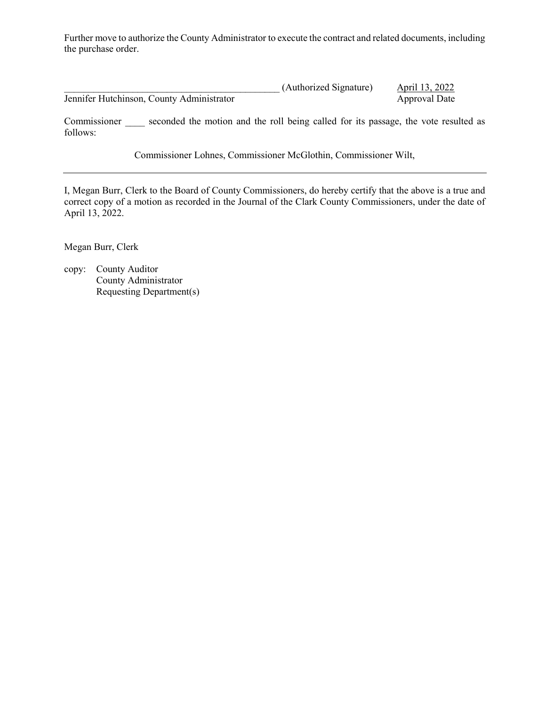Further move to authorize the County Administrator to execute the contract and related documents, including the purchase order.

|                                           | (Authorized Signature) | April 13, 2022 |
|-------------------------------------------|------------------------|----------------|
| Jennifer Hutchinson, County Administrator |                        | Approval Date  |

Commissioner seconded the motion and the roll being called for its passage, the vote resulted as follows:

Commissioner Lohnes, Commissioner McGlothin, Commissioner Wilt,

I, Megan Burr, Clerk to the Board of County Commissioners, do hereby certify that the above is a true and correct copy of a motion as recorded in the Journal of the Clark County Commissioners, under the date of April 13, 2022.

Megan Burr, Clerk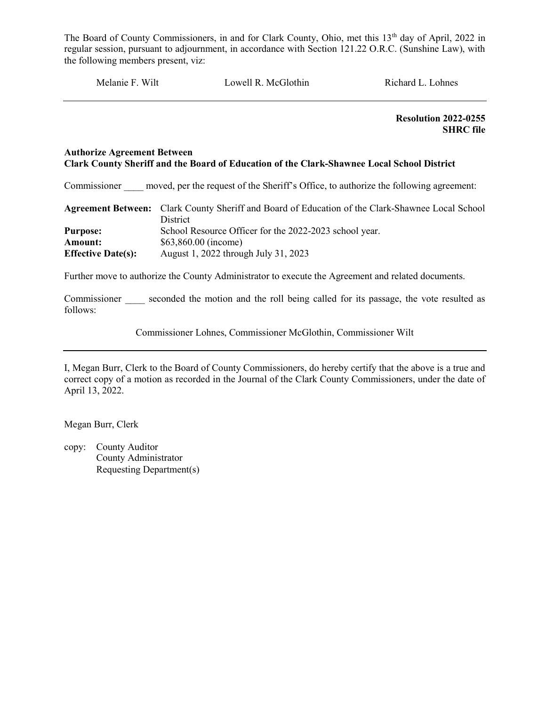Melanie F. Wilt Lowell R. McGlothin Richard L. Lohnes

 Resolution 2022-0255 SHRC file

#### Authorize Agreement Between Clark County Sheriff and the Board of Education of the Clark-Shawnee Local School District

Commissioner moved, per the request of the Sheriff's Office, to authorize the following agreement:

|                           | Agreement Between: Clark County Sheriff and Board of Education of the Clark-Shawnee Local School |
|---------------------------|--------------------------------------------------------------------------------------------------|
|                           | <b>District</b>                                                                                  |
| <b>Purpose:</b>           | School Resource Officer for the 2022-2023 school year.                                           |
| Amount:                   | $$63,860.00$ (income)                                                                            |
| <b>Effective Date(s):</b> | August 1, 2022 through July 31, 2023                                                             |

Further move to authorize the County Administrator to execute the Agreement and related documents.

Commissioner seconded the motion and the roll being called for its passage, the vote resulted as follows:

Commissioner Lohnes, Commissioner McGlothin, Commissioner Wilt

I, Megan Burr, Clerk to the Board of County Commissioners, do hereby certify that the above is a true and correct copy of a motion as recorded in the Journal of the Clark County Commissioners, under the date of April 13, 2022.

Megan Burr, Clerk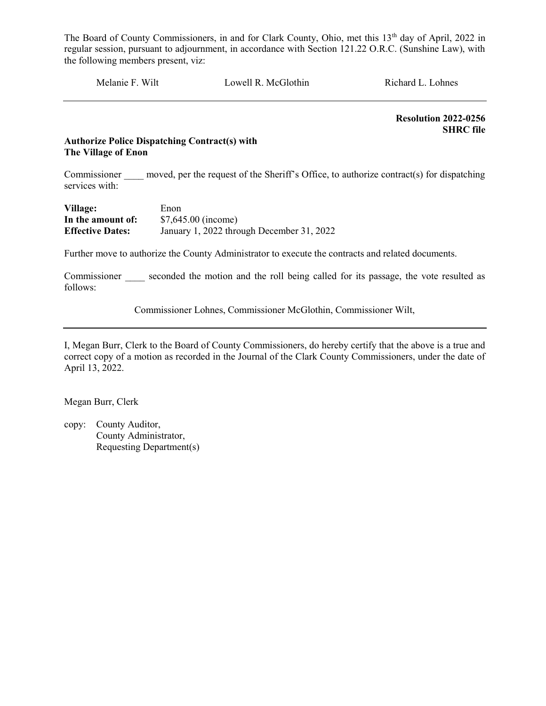Melanie F. Wilt Lowell R. McGlothin Richard L. Lohnes

 Resolution 2022-0256 SHRC file

#### Authorize Police Dispatching Contract(s) with The Village of Enon

Commissioner moved, per the request of the Sheriff's Office, to authorize contract(s) for dispatching services with:

| Village:                | Enon                                      |
|-------------------------|-------------------------------------------|
| In the amount of:       | $$7,645.00$ (income)                      |
| <b>Effective Dates:</b> | January 1, 2022 through December 31, 2022 |

Further move to authorize the County Administrator to execute the contracts and related documents.

Commissioner seconded the motion and the roll being called for its passage, the vote resulted as follows:

Commissioner Lohnes, Commissioner McGlothin, Commissioner Wilt,

I, Megan Burr, Clerk to the Board of County Commissioners, do hereby certify that the above is a true and correct copy of a motion as recorded in the Journal of the Clark County Commissioners, under the date of April 13, 2022.

Megan Burr, Clerk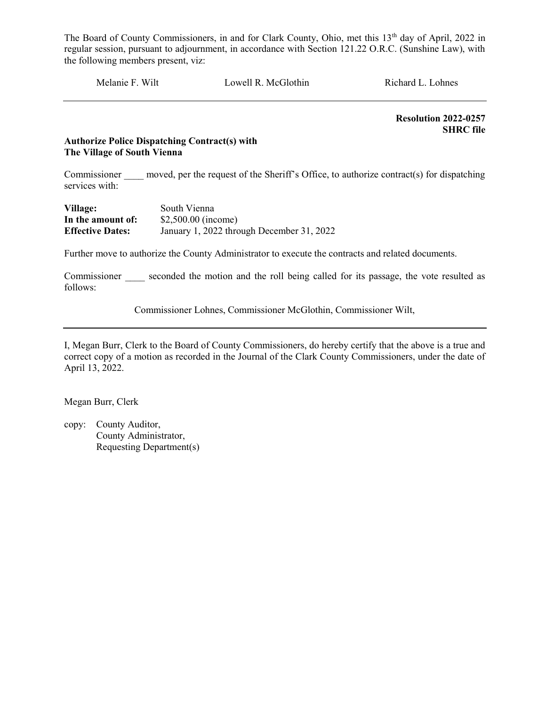Melanie F. Wilt Lowell R. McGlothin Richard L. Lohnes

 Resolution 2022-0257 SHRC file

#### Authorize Police Dispatching Contract(s) with The Village of South Vienna

Commissioner moved, per the request of the Sheriff's Office, to authorize contract(s) for dispatching services with:

| Village:                | South Vienna                              |
|-------------------------|-------------------------------------------|
| In the amount of:       | $$2,500.00$ (income)                      |
| <b>Effective Dates:</b> | January 1, 2022 through December 31, 2022 |

Further move to authorize the County Administrator to execute the contracts and related documents.

Commissioner seconded the motion and the roll being called for its passage, the vote resulted as follows:

Commissioner Lohnes, Commissioner McGlothin, Commissioner Wilt,

I, Megan Burr, Clerk to the Board of County Commissioners, do hereby certify that the above is a true and correct copy of a motion as recorded in the Journal of the Clark County Commissioners, under the date of April 13, 2022.

Megan Burr, Clerk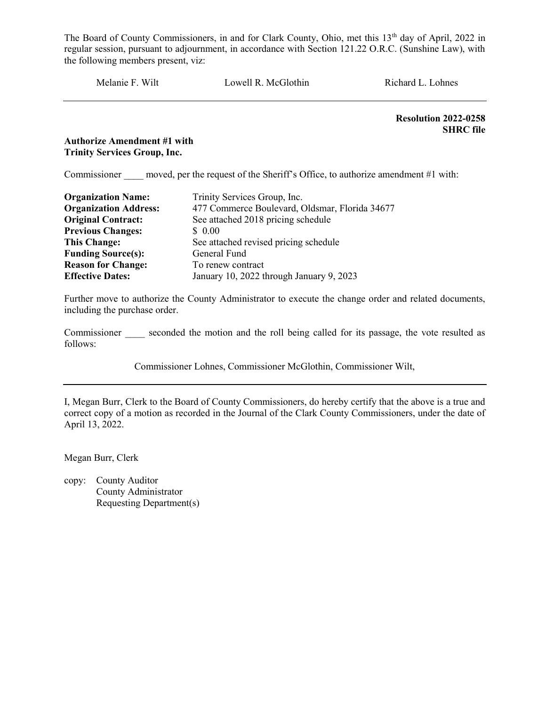Melanie F. Wilt Lowell R. McGlothin Richard L. Lohnes

 Resolution 2022-0258 SHRC file

#### Authorize Amendment #1 with Trinity Services Group, Inc.

Commissioner moved, per the request of the Sheriff's Office, to authorize amendment #1 with:

| <b>Organization Name:</b>    | Trinity Services Group, Inc.                   |
|------------------------------|------------------------------------------------|
| <b>Organization Address:</b> | 477 Commerce Boulevard, Oldsmar, Florida 34677 |
| <b>Original Contract:</b>    | See attached 2018 pricing schedule             |
| <b>Previous Changes:</b>     | \$ 0.00                                        |
| <b>This Change:</b>          | See attached revised pricing schedule          |
| <b>Funding Source(s):</b>    | General Fund                                   |
| <b>Reason for Change:</b>    | To renew contract                              |
| <b>Effective Dates:</b>      | January 10, 2022 through January 9, 2023       |

Further move to authorize the County Administrator to execute the change order and related documents, including the purchase order.

Commissioner seconded the motion and the roll being called for its passage, the vote resulted as follows:

Commissioner Lohnes, Commissioner McGlothin, Commissioner Wilt,

I, Megan Burr, Clerk to the Board of County Commissioners, do hereby certify that the above is a true and correct copy of a motion as recorded in the Journal of the Clark County Commissioners, under the date of April 13, 2022.

Megan Burr, Clerk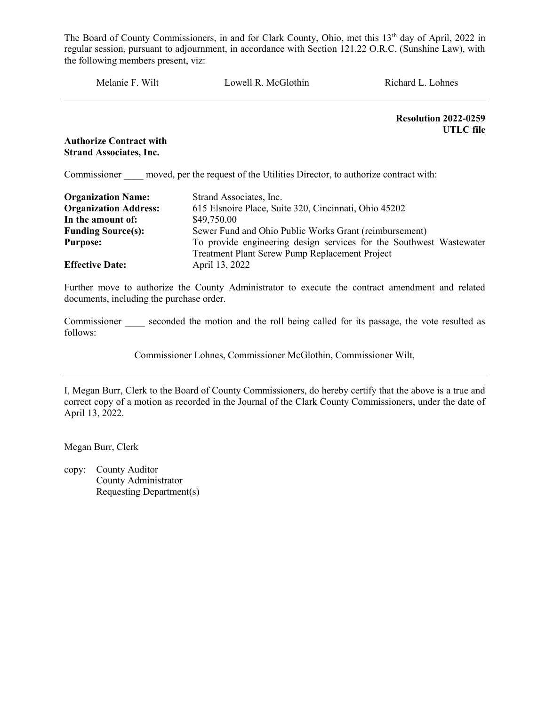Melanie F. Wilt **Lowell R. McGlothin** Richard L. Lohnes Resolution 2022-0259 UTLC file Authorize Contract with Strand Associates, Inc. Commissioner moved, per the request of the Utilities Director, to authorize contract with: Organization Name: Strand Associates, Inc. Organization Address: 615 Elsnoire Place, Suite 320, Cincinnati, Ohio 45202 **In the amount of:** \$49,750.00

Funding Source(s): Sewer Fund and Ohio Public Works Grant (reimbursement) Purpose: To provide engineering design services for the Southwest Wastewater Treatment Plant Screw Pump Replacement Project Effective Date: April 13, 2022

Further move to authorize the County Administrator to execute the contract amendment and related documents, including the purchase order.

Commissioner seconded the motion and the roll being called for its passage, the vote resulted as follows:

Commissioner Lohnes, Commissioner McGlothin, Commissioner Wilt,

I, Megan Burr, Clerk to the Board of County Commissioners, do hereby certify that the above is a true and correct copy of a motion as recorded in the Journal of the Clark County Commissioners, under the date of April 13, 2022.

Megan Burr, Clerk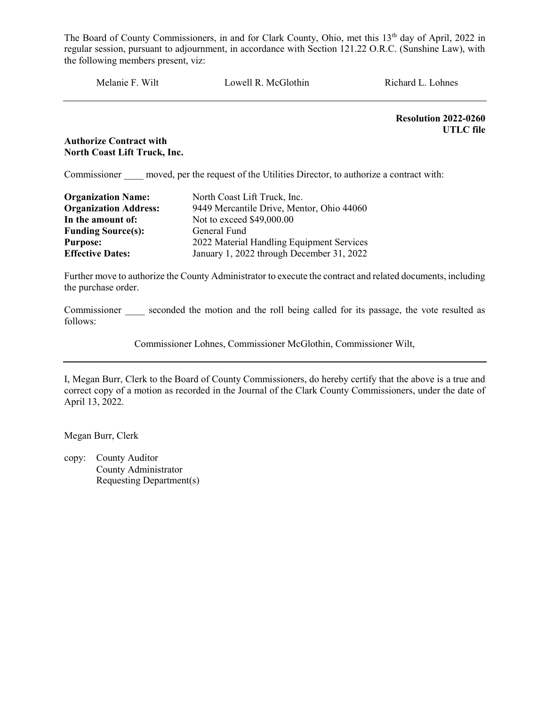Melanie F. Wilt Lowell R. McGlothin Richard L. Lohnes

Resolution 2022-0260 UTLC file

#### Authorize Contract with North Coast Lift Truck, Inc.

Commissioner moved, per the request of the Utilities Director, to authorize a contract with:

| <b>Organization Name:</b>    | North Coast Lift Truck, Inc.              |
|------------------------------|-------------------------------------------|
| <b>Organization Address:</b> | 9449 Mercantile Drive, Mentor, Ohio 44060 |
| In the amount of:            | Not to exceed \$49,000.00                 |
| <b>Funding Source(s):</b>    | General Fund                              |
| <b>Purpose:</b>              | 2022 Material Handling Equipment Services |
| <b>Effective Dates:</b>      | January 1, 2022 through December 31, 2022 |

Further move to authorize the County Administrator to execute the contract and related documents, including the purchase order.

Commissioner seconded the motion and the roll being called for its passage, the vote resulted as follows:

Commissioner Lohnes, Commissioner McGlothin, Commissioner Wilt,

I, Megan Burr, Clerk to the Board of County Commissioners, do hereby certify that the above is a true and correct copy of a motion as recorded in the Journal of the Clark County Commissioners, under the date of April 13, 2022.

Megan Burr, Clerk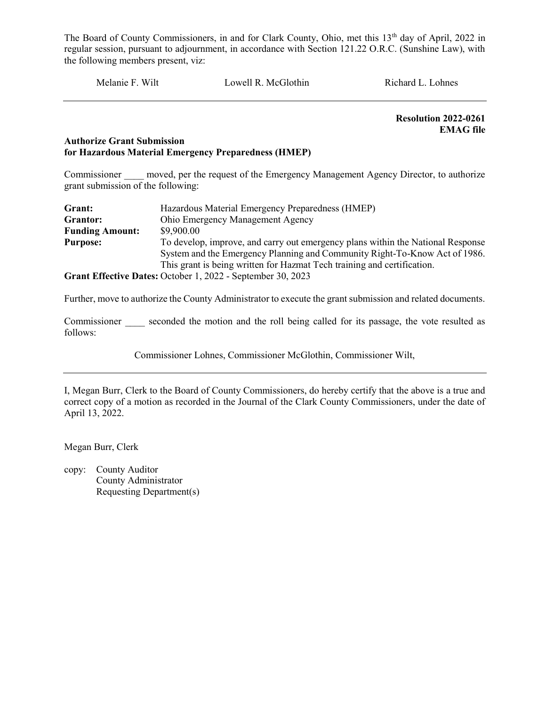Melanie F. Wilt Lowell R. McGlothin Richard L. Lohnes

 Resolution 2022-0261 EMAG file

#### Authorize Grant Submission for Hazardous Material Emergency Preparedness (HMEP)

Commissioner moved, per the request of the Emergency Management Agency Director, to authorize grant submission of the following:

| Grant:                 | Hazardous Material Emergency Preparedness (HMEP)                                |
|------------------------|---------------------------------------------------------------------------------|
| Grantor:               | Ohio Emergency Management Agency                                                |
| <b>Funding Amount:</b> | \$9,900.00                                                                      |
| <b>Purpose:</b>        | To develop, improve, and carry out emergency plans within the National Response |
|                        | System and the Emergency Planning and Community Right-To-Know Act of 1986.      |
|                        | This grant is being written for Hazmat Tech training and certification.         |
|                        | Grant Effective Dates: October 1, 2022 - September 30, 2023                     |

Further, move to authorize the County Administrator to execute the grant submission and related documents.

Commissioner seconded the motion and the roll being called for its passage, the vote resulted as follows:

Commissioner Lohnes, Commissioner McGlothin, Commissioner Wilt,

I, Megan Burr, Clerk to the Board of County Commissioners, do hereby certify that the above is a true and correct copy of a motion as recorded in the Journal of the Clark County Commissioners, under the date of April 13, 2022.

Megan Burr, Clerk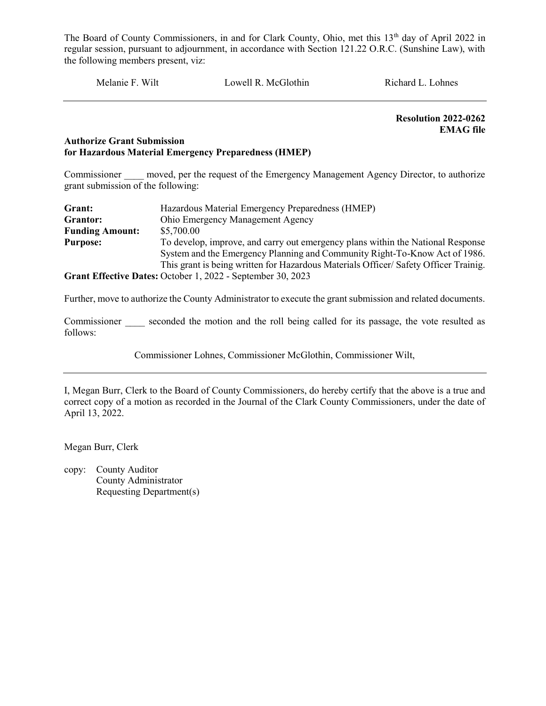Melanie F. Wilt Lowell R. McGlothin Richard L. Lohnes

 Resolution 2022-0262 EMAG file

#### Authorize Grant Submission for Hazardous Material Emergency Preparedness (HMEP)

Commissioner moved, per the request of the Emergency Management Agency Director, to authorize grant submission of the following:

| Grant:                 | Hazardous Material Emergency Preparedness (HMEP)                                    |
|------------------------|-------------------------------------------------------------------------------------|
| Grantor:               | Ohio Emergency Management Agency                                                    |
| <b>Funding Amount:</b> | \$5,700.00                                                                          |
| <b>Purpose:</b>        | To develop, improve, and carry out emergency plans within the National Response     |
|                        | System and the Emergency Planning and Community Right-To-Know Act of 1986.          |
|                        | This grant is being written for Hazardous Materials Officer/Safety Officer Trainig. |
|                        | Grant Effective Dates: October 1, 2022 - September 30, 2023                         |

Further, move to authorize the County Administrator to execute the grant submission and related documents.

Commissioner seconded the motion and the roll being called for its passage, the vote resulted as follows:

Commissioner Lohnes, Commissioner McGlothin, Commissioner Wilt,

I, Megan Burr, Clerk to the Board of County Commissioners, do hereby certify that the above is a true and correct copy of a motion as recorded in the Journal of the Clark County Commissioners, under the date of April 13, 2022.

Megan Burr, Clerk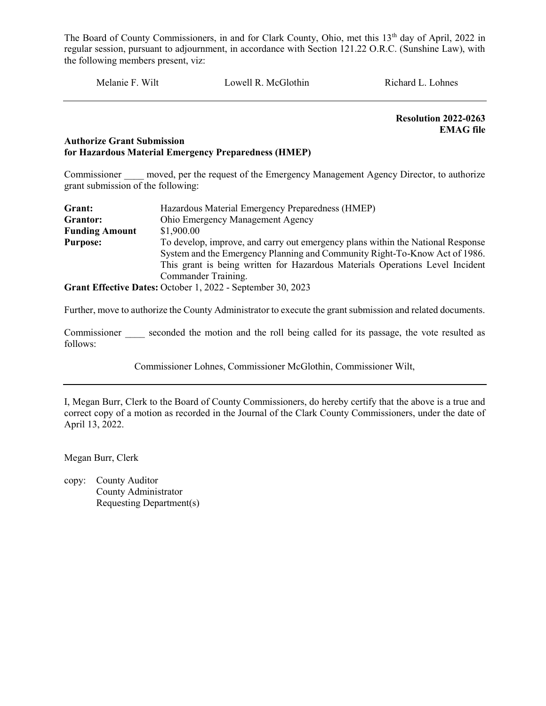Melanie F. Wilt Lowell R. McGlothin Richard L. Lohnes

 Resolution 2022-0263 EMAG file

#### Authorize Grant Submission for Hazardous Material Emergency Preparedness (HMEP)

Commissioner moved, per the request of the Emergency Management Agency Director, to authorize grant submission of the following:

| Grant:                | Hazardous Material Emergency Preparedness (HMEP)                                |  |  |  |
|-----------------------|---------------------------------------------------------------------------------|--|--|--|
| Grantor:              | Ohio Emergency Management Agency                                                |  |  |  |
| <b>Funding Amount</b> | \$1,900.00                                                                      |  |  |  |
| <b>Purpose:</b>       | To develop, improve, and carry out emergency plans within the National Response |  |  |  |
|                       | System and the Emergency Planning and Community Right-To-Know Act of 1986.      |  |  |  |
|                       | This grant is being written for Hazardous Materials Operations Level Incident   |  |  |  |
|                       | Commander Training.                                                             |  |  |  |
|                       | Grant Effective Dates: October 1, 2022 - September 30, 2023                     |  |  |  |

Further, move to authorize the County Administrator to execute the grant submission and related documents.

Commissioner seconded the motion and the roll being called for its passage, the vote resulted as follows:

Commissioner Lohnes, Commissioner McGlothin, Commissioner Wilt,

I, Megan Burr, Clerk to the Board of County Commissioners, do hereby certify that the above is a true and correct copy of a motion as recorded in the Journal of the Clark County Commissioners, under the date of April 13, 2022.

Megan Burr, Clerk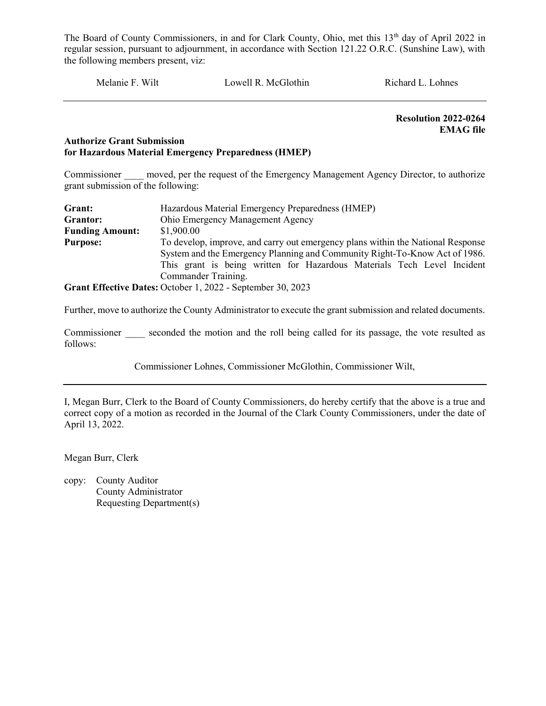Melanie F. Wilt Lowell R. McGlothin Richard L. Lohnes

 Resolution 2022-0264 EMAG file

#### Authorize Grant Submission for Hazardous Material Emergency Preparedness (HMEP)

Commissioner moved, per the request of the Emergency Management Agency Director, to authorize grant submission of the following:

| Grant:                 | Hazardous Material Emergency Preparedness (HMEP)                                |  |  |  |
|------------------------|---------------------------------------------------------------------------------|--|--|--|
| Grantor:               | Ohio Emergency Management Agency                                                |  |  |  |
| <b>Funding Amount:</b> | \$1,900.00                                                                      |  |  |  |
| <b>Purpose:</b>        | To develop, improve, and carry out emergency plans within the National Response |  |  |  |
|                        | System and the Emergency Planning and Community Right-To-Know Act of 1986.      |  |  |  |
|                        | This grant is being written for Hazardous Materials Tech Level Incident         |  |  |  |
|                        | Commander Training.                                                             |  |  |  |
|                        | Grant Effective Dates: October 1, 2022 - September 30, 2023                     |  |  |  |

Further, move to authorize the County Administrator to execute the grant submission and related documents.

Commissioner seconded the motion and the roll being called for its passage, the vote resulted as follows:

Commissioner Lohnes, Commissioner McGlothin, Commissioner Wilt,

I, Megan Burr, Clerk to the Board of County Commissioners, do hereby certify that the above is a true and correct copy of a motion as recorded in the Journal of the Clark County Commissioners, under the date of April 13, 2022.

Megan Burr, Clerk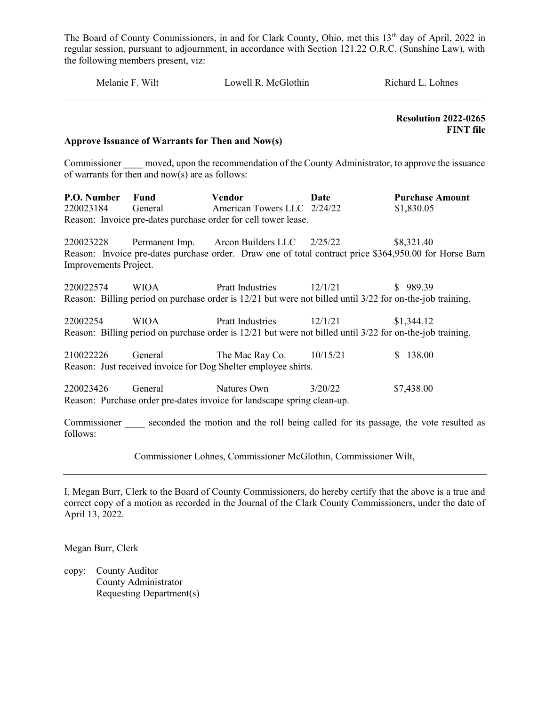| Melanie F. Wilt                    |                                                   | Lowell R. McGlothin                                                                                                                                 |         | Richard L. Lohnes                               |  |
|------------------------------------|---------------------------------------------------|-----------------------------------------------------------------------------------------------------------------------------------------------------|---------|-------------------------------------------------|--|
|                                    | Approve Issuance of Warrants for Then and Now(s)  |                                                                                                                                                     |         | <b>Resolution 2022-0265</b><br><b>FINT</b> file |  |
|                                    | of warrants for then and $now(s)$ are as follows: | Commissioner moved, upon the recommendation of the County Administrator, to approve the issuance                                                    |         |                                                 |  |
| P.O. Number<br>220023184           | Fund<br>General                                   | Vendor<br>American Towers LLC 2/24/22<br>Reason: Invoice pre-dates purchase order for cell tower lease.                                             | Date    | <b>Purchase Amount</b><br>\$1,830.05            |  |
| 220023228<br>Improvements Project. |                                                   | Permanent Imp. Arcon Builders LLC 2/25/22<br>Reason: Invoice pre-dates purchase order. Draw one of total contract price \$364,950.00 for Horse Barn |         | \$8,321.40                                      |  |
| 220022574                          | <b>WIOA</b>                                       | <b>Pratt Industries</b><br>Reason: Billing period on purchase order is 12/21 but were not billed until 3/22 for on-the-job training.                | 12/1/21 | \$989.39                                        |  |
| 22002254                           | <b>WIOA</b>                                       | Pratt Industries 12/1/21<br>Reason: Billing period on purchase order is 12/21 but were not billed until 3/22 for on-the-job training.               |         | \$1,344.12                                      |  |
| 210022226                          | General                                           | The Mac Ray Co. $10/15/21$<br>Reason: Just received invoice for Dog Shelter employee shirts.                                                        |         | \$138.00                                        |  |
| 220023426                          | General                                           | Natures Own<br>Reason: Purchase order pre-dates invoice for landscape spring clean-up.                                                              | 3/20/22 | \$7,438.00                                      |  |
| follows:                           |                                                   | Commissioner seconded the motion and the roll being called for its passage, the vote resulted as                                                    |         |                                                 |  |

Commissioner Lohnes, Commissioner McGlothin, Commissioner Wilt,

I, Megan Burr, Clerk to the Board of County Commissioners, do hereby certify that the above is a true and correct copy of a motion as recorded in the Journal of the Clark County Commissioners, under the date of April 13, 2022.

Megan Burr, Clerk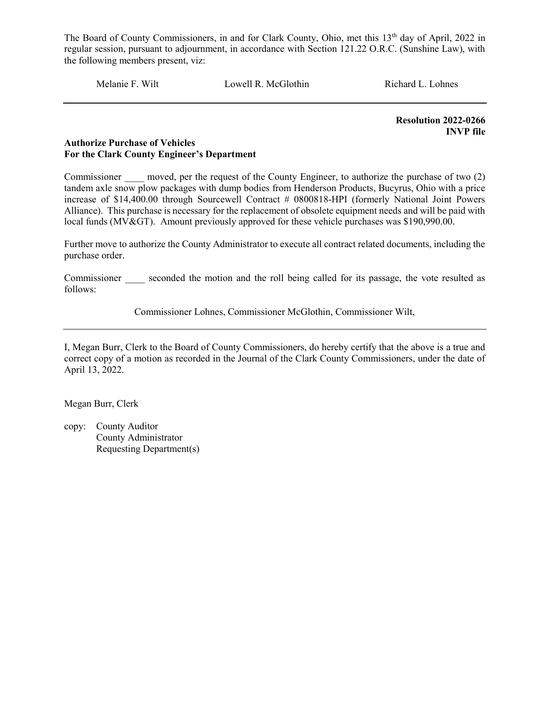Melanie F. Wilt Lowell R. McGlothin Richard L. Lohnes

 Resolution 2022-0266 INVP file

#### Authorize Purchase of Vehicles For the Clark County Engineer's Department

Commissioner moved, per the request of the County Engineer, to authorize the purchase of two (2) tandem axle snow plow packages with dump bodies from Henderson Products, Bucyrus, Ohio with a price increase of \$14,400.00 through Sourcewell Contract # 0800818-HPI (formerly National Joint Powers Alliance). This purchase is necessary for the replacement of obsolete equipment needs and will be paid with local funds (MV&GT). Amount previously approved for these vehicle purchases was \$190,990.00.

Further move to authorize the County Administrator to execute all contract related documents, including the purchase order.

Commissioner seconded the motion and the roll being called for its passage, the vote resulted as follows:

Commissioner Lohnes, Commissioner McGlothin, Commissioner Wilt,

I, Megan Burr, Clerk to the Board of County Commissioners, do hereby certify that the above is a true and correct copy of a motion as recorded in the Journal of the Clark County Commissioners, under the date of April 13, 2022.

Megan Burr, Clerk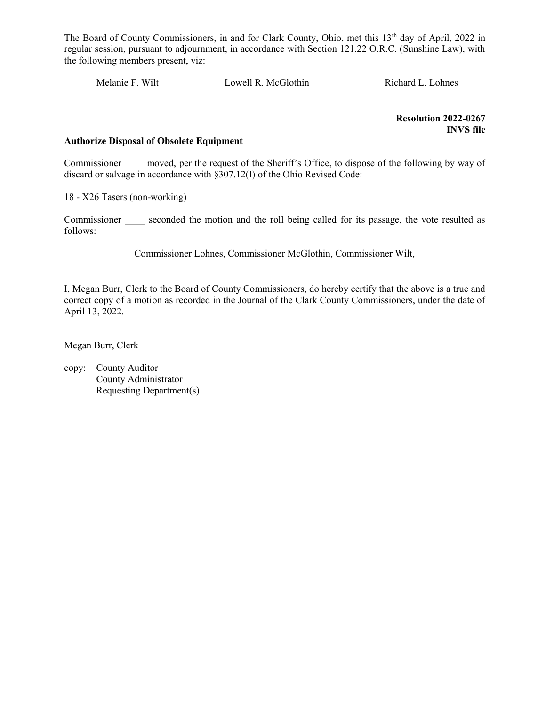Melanie F. Wilt Lowell R. McGlothin Richard L. Lohnes

 Resolution 2022-0267 INVS file

#### Authorize Disposal of Obsolete Equipment

Commissioner \_\_\_\_ moved, per the request of the Sheriff's Office, to dispose of the following by way of discard or salvage in accordance with §307.12(I) of the Ohio Revised Code:

18 - X26 Tasers (non-working)

Commissioner seconded the motion and the roll being called for its passage, the vote resulted as follows:

Commissioner Lohnes, Commissioner McGlothin, Commissioner Wilt,

I, Megan Burr, Clerk to the Board of County Commissioners, do hereby certify that the above is a true and correct copy of a motion as recorded in the Journal of the Clark County Commissioners, under the date of April 13, 2022.

Megan Burr, Clerk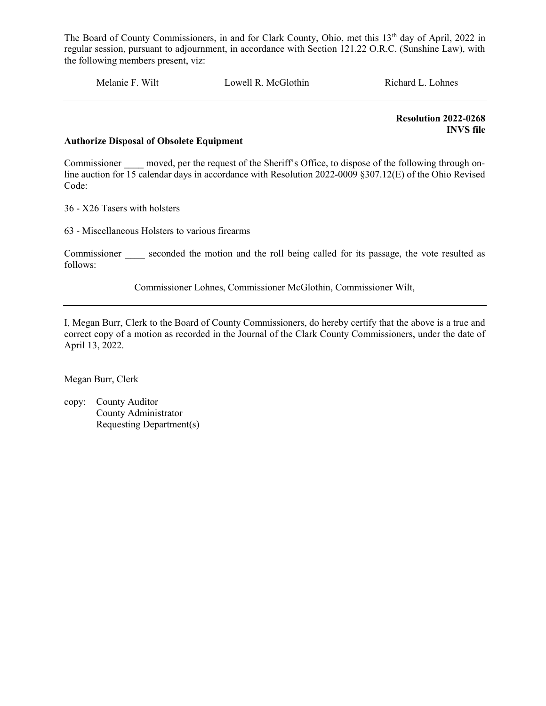Melanie F. Wilt Lowell R. McGlothin Richard L. Lohnes

 Resolution 2022-0268 INVS file

#### Authorize Disposal of Obsolete Equipment

Commissioner moved, per the request of the Sheriff's Office, to dispose of the following through online auction for 15 calendar days in accordance with Resolution 2022-0009 §307.12(E) of the Ohio Revised Code:

36 - X26 Tasers with holsters

63 - Miscellaneous Holsters to various firearms

Commissioner seconded the motion and the roll being called for its passage, the vote resulted as follows:

Commissioner Lohnes, Commissioner McGlothin, Commissioner Wilt,

I, Megan Burr, Clerk to the Board of County Commissioners, do hereby certify that the above is a true and correct copy of a motion as recorded in the Journal of the Clark County Commissioners, under the date of April 13, 2022.

Megan Burr, Clerk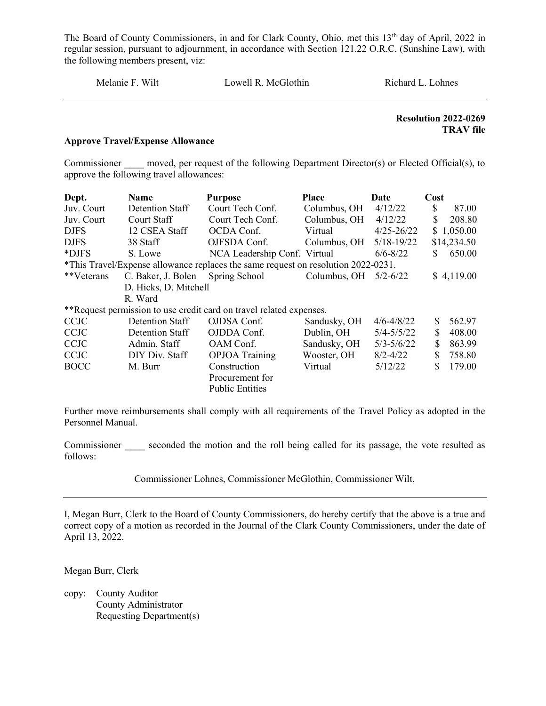Melanie F. Wilt Lowell R. McGlothin Richard L. Lohnes

#### Resolution 2022-0269 TRAV file

#### Approve Travel/Expense Allowance

Commissioner moved, per request of the following Department Director(s) or Elected Official(s), to approve the following travel allowances:

| Dept.       | <b>Name</b>           | <b>Purpose</b>                                                                    | <b>Place</b> | Date           | Cost |             |
|-------------|-----------------------|-----------------------------------------------------------------------------------|--------------|----------------|------|-------------|
| Juv. Court  | Detention Staff       | Court Tech Conf.                                                                  | Columbus, OH | 4/12/22        | \$   | 87.00       |
| Juv. Court  | Court Staff           | Court Tech Conf.                                                                  | Columbus, OH | 4/12/22        | \$   | 208.80      |
| <b>DJFS</b> | 12 CSEA Staff         | OCDA Conf.                                                                        | Virtual      | $4/25 - 26/22$ |      | \$1,050.00  |
| <b>DJFS</b> | 38 Staff              | OJFSDA Conf.                                                                      | Columbus, OH | $5/18 - 19/22$ |      | \$14,234.50 |
| *DJFS       | S. Lowe               | NCA Leadership Conf. Virtual                                                      |              | $6/6 - 8/22$   | S    | 650.00      |
|             |                       | *This Travel/Expense allowance replaces the same request on resolution 2022-0231. |              |                |      |             |
| **Veterans  | C. Baker, J. Bolen    | Spring School                                                                     | Columbus, OH | $5/2 - 6/22$   |      | \$4,119.00  |
|             | D. Hicks, D. Mitchell |                                                                                   |              |                |      |             |
|             | R. Ward               |                                                                                   |              |                |      |             |
|             |                       | **Request permission to use credit card on travel related expenses.               |              |                |      |             |
| <b>CCJC</b> | Detention Staff       | OJDSA Conf.                                                                       | Sandusky, OH | $4/6 - 4/8/22$ | \$.  | 562.97      |
| <b>CCJC</b> | Detention Staff       | OJDDA Conf.                                                                       | Dublin, OH   | $5/4 - 5/5/22$ | \$   | 408.00      |
| <b>CCJC</b> | Admin. Staff          | OAM Conf.                                                                         | Sandusky, OH | $5/3 - 5/6/22$ | S    | 863.99      |
| <b>CCJC</b> | DIY Div. Staff        | <b>OPJOA</b> Training                                                             | Wooster, OH  | $8/2 - 4/22$   | \$   | 758.80      |
| <b>BOCC</b> | M. Burr               | Construction                                                                      | Virtual      | 5/12/22        | S    | 179.00      |
|             |                       | Procurement for                                                                   |              |                |      |             |
|             |                       | <b>Public Entities</b>                                                            |              |                |      |             |

Further move reimbursements shall comply with all requirements of the Travel Policy as adopted in the Personnel Manual.

Commissioner seconded the motion and the roll being called for its passage, the vote resulted as follows:

Commissioner Lohnes, Commissioner McGlothin, Commissioner Wilt,

I, Megan Burr, Clerk to the Board of County Commissioners, do hereby certify that the above is a true and correct copy of a motion as recorded in the Journal of the Clark County Commissioners, under the date of April 13, 2022.

Megan Burr, Clerk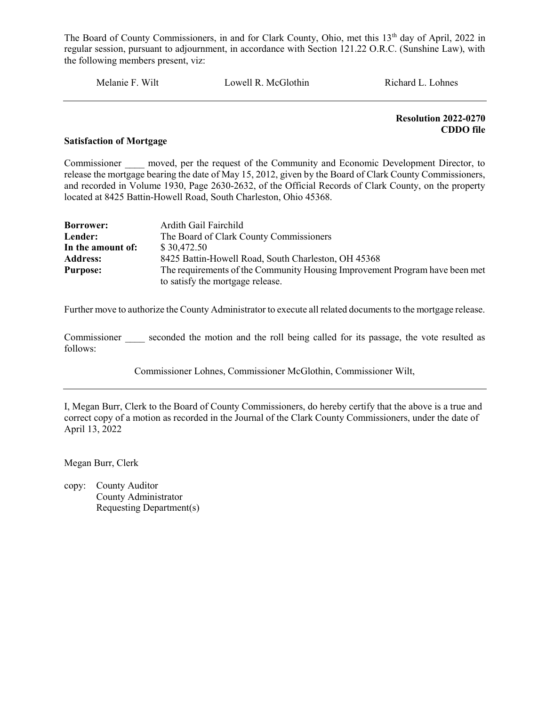Melanie F. Wilt Lowell R. McGlothin Richard L. Lohnes

 Resolution 2022-0270 CDDO file

#### Satisfaction of Mortgage

Commissioner moved, per the request of the Community and Economic Development Director, to release the mortgage bearing the date of May 15, 2012, given by the Board of Clark County Commissioners, and recorded in Volume 1930, Page 2630-2632, of the Official Records of Clark County, on the property located at 8425 Battin-Howell Road, South Charleston, Ohio 45368.

| <b>Borrower:</b>  | Ardith Gail Fairchild                                                       |
|-------------------|-----------------------------------------------------------------------------|
| Lender:           | The Board of Clark County Commissioners                                     |
| In the amount of: | \$30,472.50                                                                 |
| <b>Address:</b>   | 8425 Battin-Howell Road, South Charleston, OH 45368                         |
| <b>Purpose:</b>   | The requirements of the Community Housing Improvement Program have been met |
|                   | to satisfy the mortgage release.                                            |

Further move to authorize the County Administrator to execute all related documents to the mortgage release.

Commissioner seconded the motion and the roll being called for its passage, the vote resulted as follows:

Commissioner Lohnes, Commissioner McGlothin, Commissioner Wilt,

I, Megan Burr, Clerk to the Board of County Commissioners, do hereby certify that the above is a true and correct copy of a motion as recorded in the Journal of the Clark County Commissioners, under the date of April 13, 2022

Megan Burr, Clerk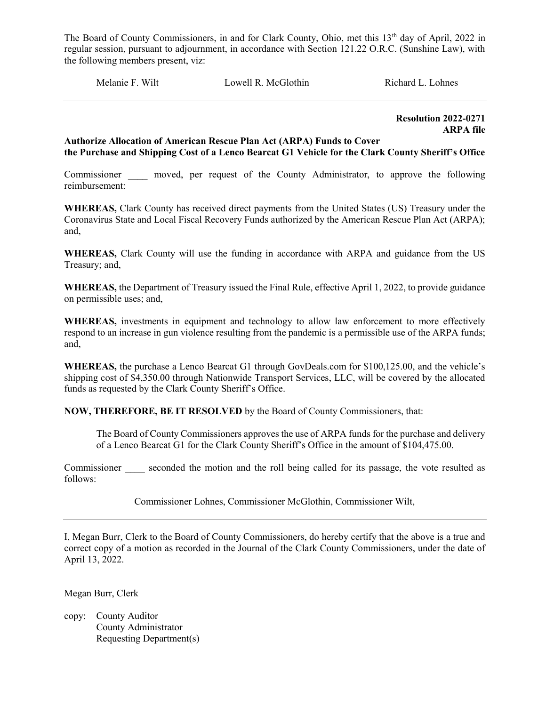Melanie F. Wilt **Lowell R. McGlothin** Richard L. Lohnes

 Resolution 2022-0271 ARPA file

#### Authorize Allocation of American Rescue Plan Act (ARPA) Funds to Cover the Purchase and Shipping Cost of a Lenco Bearcat G1 Vehicle for the Clark County Sheriff's Office

Commissioner moved, per request of the County Administrator, to approve the following reimbursement:

WHEREAS, Clark County has received direct payments from the United States (US) Treasury under the Coronavirus State and Local Fiscal Recovery Funds authorized by the American Rescue Plan Act (ARPA); and,

WHEREAS, Clark County will use the funding in accordance with ARPA and guidance from the US Treasury; and,

WHEREAS, the Department of Treasury issued the Final Rule, effective April 1, 2022, to provide guidance on permissible uses; and,

WHEREAS, investments in equipment and technology to allow law enforcement to more effectively respond to an increase in gun violence resulting from the pandemic is a permissible use of the ARPA funds; and,

WHEREAS, the purchase a Lenco Bearcat G1 through GovDeals.com for \$100,125.00, and the vehicle's shipping cost of \$4,350.00 through Nationwide Transport Services, LLC, will be covered by the allocated funds as requested by the Clark County Sheriff's Office.

NOW, THEREFORE, BE IT RESOLVED by the Board of County Commissioners, that:

The Board of County Commissioners approves the use of ARPA funds for the purchase and delivery of a Lenco Bearcat G1 for the Clark County Sheriff's Office in the amount of \$104,475.00.

Commissioner seconded the motion and the roll being called for its passage, the vote resulted as follows:

Commissioner Lohnes, Commissioner McGlothin, Commissioner Wilt,

I, Megan Burr, Clerk to the Board of County Commissioners, do hereby certify that the above is a true and correct copy of a motion as recorded in the Journal of the Clark County Commissioners, under the date of April 13, 2022.

Megan Burr, Clerk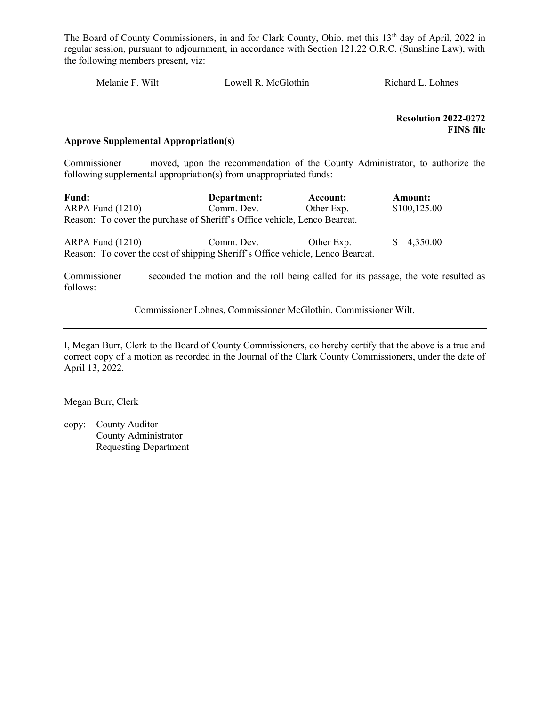| Melanie F. Wilt | Lowell R. McGlothin | Richard L. Lohnes |
|-----------------|---------------------|-------------------|
|                 |                     |                   |

 Resolution 2022-0272 FINS file

#### Approve Supplemental Appropriation(s)

Commissioner and moved, upon the recommendation of the County Administrator, to authorize the following supplemental appropriation(s) from unappropriated funds:

| <b>Fund:</b>                                                              | Department: | Account:   | <b>Amount:</b> |  |  |  |
|---------------------------------------------------------------------------|-------------|------------|----------------|--|--|--|
| $ARPA$ Fund $(1210)$                                                      | Comm. Dev.  | Other Exp. | \$100,125.00   |  |  |  |
| Reason: To cover the purchase of Sheriff's Office vehicle, Lenco Bearcat. |             |            |                |  |  |  |
|                                                                           |             |            |                |  |  |  |

ARPA Fund (1210) Comm. Dev. Other Exp. \$ 4,350.00 Reason: To cover the cost of shipping Sheriff's Office vehicle, Lenco Bearcat.

Commissioner seconded the motion and the roll being called for its passage, the vote resulted as follows:

Commissioner Lohnes, Commissioner McGlothin, Commissioner Wilt,

I, Megan Burr, Clerk to the Board of County Commissioners, do hereby certify that the above is a true and correct copy of a motion as recorded in the Journal of the Clark County Commissioners, under the date of April 13, 2022.

Megan Burr, Clerk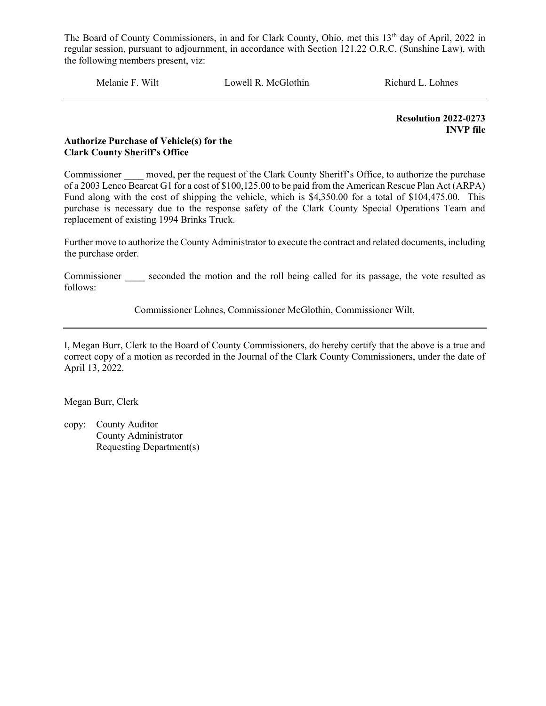Melanie F. Wilt Lowell R. McGlothin Richard L. Lohnes

Resolution 2022-0273 INVP file

#### Authorize Purchase of Vehicle(s) for the Clark County Sheriff's Office

Commissioner moved, per the request of the Clark County Sheriff's Office, to authorize the purchase of a 2003 Lenco Bearcat G1 for a cost of \$100,125.00 to be paid from the American Rescue Plan Act (ARPA) Fund along with the cost of shipping the vehicle, which is \$4,350.00 for a total of \$104,475.00. This purchase is necessary due to the response safety of the Clark County Special Operations Team and replacement of existing 1994 Brinks Truck.

Further move to authorize the County Administrator to execute the contract and related documents, including the purchase order.

Commissioner seconded the motion and the roll being called for its passage, the vote resulted as follows:

Commissioner Lohnes, Commissioner McGlothin, Commissioner Wilt,

I, Megan Burr, Clerk to the Board of County Commissioners, do hereby certify that the above is a true and correct copy of a motion as recorded in the Journal of the Clark County Commissioners, under the date of April 13, 2022.

Megan Burr, Clerk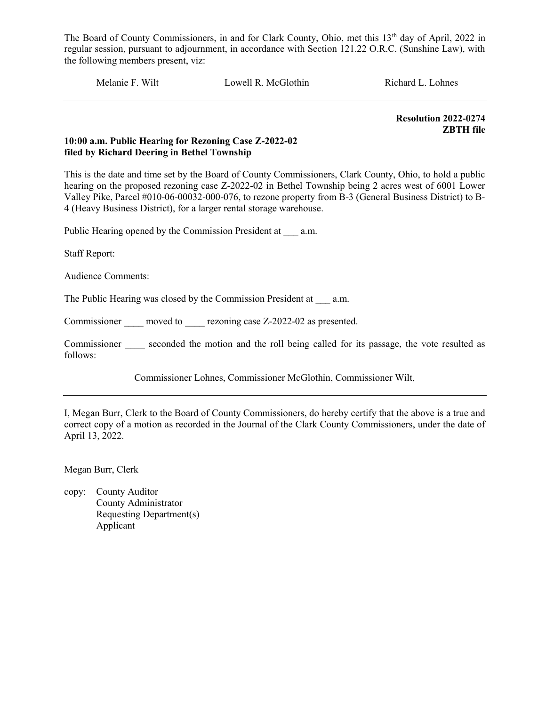Melanie F. Wilt Lowell R. McGlothin Richard L. Lohnes

Resolution 2022-0274 ZBTH file

#### 10:00 a.m. Public Hearing for Rezoning Case Z-2022-02 filed by Richard Deering in Bethel Township

This is the date and time set by the Board of County Commissioners, Clark County, Ohio, to hold a public hearing on the proposed rezoning case Z-2022-02 in Bethel Township being 2 acres west of 6001 Lower Valley Pike, Parcel #010-06-00032-000-076, to rezone property from B-3 (General Business District) to B-4 (Heavy Business District), for a larger rental storage warehouse.

Public Hearing opened by the Commission President at \_\_\_ a.m.

Staff Report:

Audience Comments:

The Public Hearing was closed by the Commission President at a.m.

Commissioner moved to rezoning case Z-2022-02 as presented.

Commissioner seconded the motion and the roll being called for its passage, the vote resulted as follows:

Commissioner Lohnes, Commissioner McGlothin, Commissioner Wilt,

I, Megan Burr, Clerk to the Board of County Commissioners, do hereby certify that the above is a true and correct copy of a motion as recorded in the Journal of the Clark County Commissioners, under the date of April 13, 2022.

Megan Burr, Clerk